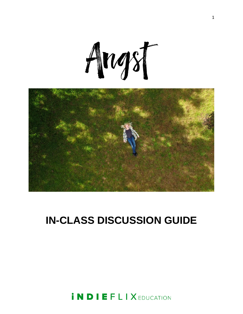



# **IN-CLASS DISCUSSION GUIDE**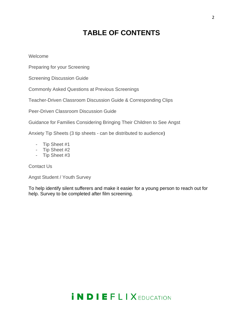### **TABLE OF CONTENTS**

Welcome

Preparing for your Screening

Screening Discussion Guide

Commonly Asked Questions at Previous Screenings

Teacher-Driven Classroom Discussion Guide & Corresponding Clips

Peer-Driven Classroom Discussion Guide

Guidance for Families Considering Bringing Their Children to See Angst

Anxiety Tip Sheets (3 tip sheets - can be distributed to audience)

- Tip Sheet #1
- Tip Sheet #2
- Tip Sheet #3

Contact Us

Angst Student / Youth Survey

To help identify silent sufferers and make it easier for a young person to reach out for help. Survey to be completed after film screening.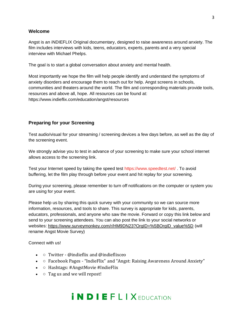#### **Welcome**

Angst is an iNDIEFLIX Original documentary, designed to raise awareness around anxiety. The film includes interviews with kids, teens, educators, experts, parents and a very special interview with Michael Phelps.

The goal is to start a global conversation about anxiety and mental health.

Most importantly we hope the film will help people identify and understand the symptoms of anxiety disorders and encourage them to reach out for help. Angst screens in schools, communities and theaters around the world. The film and corresponding materials provide tools, resources and above all, hope. All resources can be found at: https://www.indieflix.com/education/angst/resources

#### **Preparing for your Screening**

Test audio/visual for your streaming / screening devices a few days before, as well as the day of the screening event.

We strongly advise you to test in advance of your screening to make sure your school internet allows access to the screening link.

Test your Internet speed by taking the speed test https://www.speedtest.net/ . To avoid buffering, let the film play through before your event and hit replay for your screening.

During your screening, please remember to turn off notifications on the computer or system you are using for your event.

Please help us by sharing this quick survey with your community so we can source more information, resources, and tools to share. This survey is appropriate for kids, parents, educators, professionals, and anyone who saw the movie. Forward or copy this link below and send to your screening attendees. You can also post the link to your social networks or websites: [https://www.surveymonkey.com/r/HM9DN23?OrgID=%5BOrgID\\_value%5D](https://www.surveymonkey.com/r/HM9DN23?OrgID=%5BOrgID_value%5D) (will rename Angst Movie Survey)

Connect with us!

- $\circ$  Twitter @indieflix and @indieflixceo
- $\circ$  Facebook Pages "IndieFlix" and "Angst: Raising Awareness Around Anxiety"
- $\circ$  Hashtags: #AngstMovie #IndieFlix
- $\circ$  Tag us and we will repost!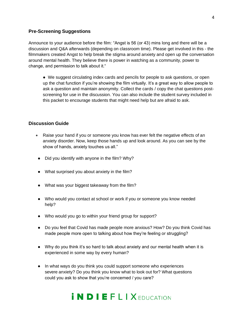#### **Pre-Screening Suggestions**

Announce to your audience before the film: "Angst is 56 (or 43) mins long and there will be a discussion and Q&A afterwards (depending on classroom time). Please get involved in this - the filmmakers created Angst to help break the stigma around anxiety and open up the conversation around mental health. They believe there is power in watching as a community, power to change, and permission to talk about it."

● We suggest circulating index cards and pencils for people to ask questions, or open up the chat function if you're showing the film virtually. It's a great way to allow people to ask a question and maintain anonymity. Collect the cards / copy the chat questions postscreening for use in the discussion. You can also include the student survey included in this packet to encourage students that might need help but are afraid to ask.

#### **Discussion Guide**

- Raise your hand if you or someone you know has ever felt the negative effects of an anxiety disorder. Now, keep those hands up and look around. As you can see by the show of hands, anxiety touches us all."
- Did you identify with anyone in the film? Why?
- What surprised you about anxiety in the film?
- What was your biggest takeaway from the film?
- Who would you contact at school or work if you or someone you know needed help?
- Who would you go to within your friend group for support?
- Do you feel that Covid has made people more anxious? How? Do you think Covid has made people more open to talking about how they're feeling or struggling?
- Why do you think it's so hard to talk about anxiety and our mental health when it is experienced in some way by every human?
- In what ways do you think you could support someone who experiences severe anxiety? Do you think you know what to look out for? What questions could you ask to show that you're concerned / you care?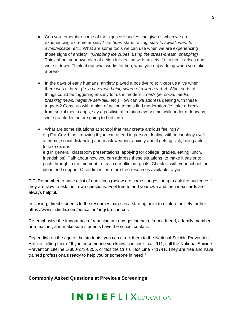- Can you remember some of the signs our bodies can give us when we are experiencing extreme anxiety? (*ie: heart starts racing, start to sweat, want to avoid/escape, etc.)* What are some tools we can use when we are experiencing those signs of anxiety? *(Grabbing ice cubes, using the stress-breath, snapping)*  Think about your own plan of action for dealing with anxiety if or when it arises and write it down. Think about what works for you; what you enjoy doing when you take a break
- In the days of early humans, anxiety played a positive role; it kept us alive when there was a threat *(ie: a caveman being aware of a lion nearby).* What sorts of things could be triggering anxiety for us in modern times? *(ie: social media, breaking news, negative self-talk, etc.)* How can we address dealing with these triggers? Come up with a plan of action to help find moderation (ie: take a break from social media apps, say a positive affirmation every time walk under a doorway, write gratitudes before going to bed, etc)
- What are some situations at school that may create anxious feelings? e.g For Covid: not knowing if you can attend in person, dealing with technology / wifi at home, social distancing and mask wearing, anxiety about getting sick, being able to take exams

e.g In general: classroom presentations, applying for college, grades, eating lunch, friendships). Talk about how you can address these situations, to make it easier to push through in the moment to reach our ultimate goals. Check in with your school for ideas and support. Often times there are free resources available to you.

TIP: Remember to have a list of questions (below are some suggestions) to ask the audience if they are slow to ask their own questions. Feel free to add your own and the index cards are always helpful.

In closing, direct students to the resources page as a starting point to explore anxiety further: https://www.indieflix.com/education/angst/resources

Re-emphasize the importance of reaching out and getting help, from a friend, a family member or a teacher, and make sure students have the school contact.

Depending on the age of the students, you can direct them to the National Suicide Prevention Hotline, telling them: "If you or someone you know is in crisis, call 911, call the National Suicide Prevention Lifeline 1-800-273-8255, or text the Crisis Text Line 741741. They are free and have trained professionals ready to help you or someone in need."

**Commonly Asked Questions at Previous Screenings** 

#### 5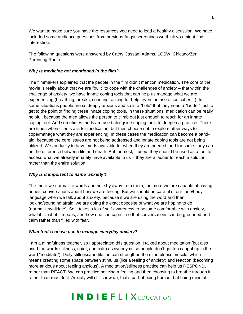We want to make sure you have the resources you need to lead a healthy discussion. We have included some audience questions from previous Angst screenings we think you might find interesting.

The following questions were answered by Cathy Cassani Adams, LCSW, Chicago/Zen Parenting Radio

#### *Why is medicine not mentioned in the film?*

The filmmakers explained that the people in the film didn't mention medication. The core of the movie is really about that we are "built" to cope with the challenges of anxiety – that within the challenge of anxiety, we have innate coping tools that can help us manage what we are experiencing (breathing, breaks, counting, asking for help, even the use of ice cubes...). In some situations people are so deeply anxious and so in a "hole" that they need a "ladder" just to get to the point of finding these innate coping tools. In these situations, medication can be really helpful, because the med allows the person to climb out just enough to reach for an innate coping tool. And sometimes meds are used alongside coping tools to deepen a practice. There are times when clients ask for medication, but then choose not to explore other ways to cope/manage what they are experiencing. In these cases the medication can become a bandaid, because the core issues are not being addressed and innate coping tools are not being utilized. We are lucky to have meds available for when they are needed, and for some, they can be the difference between life and death. But for most, if used, they should be used as a tool to access what we already innately have available to us – they are a ladder to reach a solution rather than the entire solution.

#### *Why is it important to name 'anxiety'?*

The more we normalize words and not shy away from them, the more we are capable of having honest conversations about how we are feeling. But we should be careful of our tone/body language when we talk about anxiety, because if we are using the word and then looking/sounding afraid, we are doing the exact opposite of what we are hoping to do (normalize/validate). So it takes a lot of self-awareness to become comfortable with anxiety, what it is, what it means, and how one can cope – so that conversations can be grounded and calm rather than filled with fear.

#### *What tools can we use to manage everyday anxiety?*

I am a mindfulness teacher, so I appreciated this question. I talked about meditation (but also used the words stillness, quiet, and calm as synonyms so people don't get too caught up in the word "meditate"). Daily stillness/meditation can strengthen the mindfulness muscle, which means creating some space between stimulus (like a feeling of anxiety) and reaction (becoming more anxious about feeling anxious). A meditation/stillness practice can help us RESPOND, rather than REACT. We can practice noticing a feeling and then choosing to breathe through it, rather than react to it. Anxiety will still show up, that's part of being human, but being mindful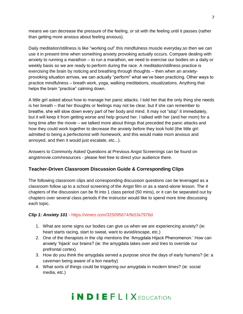means we can decrease the pressure of the feeling, or sit with the feeling until it passes (rather than getting more anxious about feeling anxious).

Daily meditation/stillness is like "working out" this mindfulness muscle everyday,so then we can use it in present time when something anxiety provoking actually occurs. Compare dealing with anxiety to running a marathon – to run a marathon, we need to exercise our bodies on a daily or weekly basis so we are ready to perform during the race. A meditation/stillness practice is exercising the brain by noticing and breathing through thoughts – then when an anxietyprovoking situation arrives, we can actually "perform" what we've been practicing. Other ways to practice mindfulness – breath work, yoga, walking meditations, visualizations. Anything that helps the brain "practice" calming down.

A little girl asked about how to manage her panic attacks. I told her that the only thing she needs is her breath – that her thoughts or feelings may not be clear, but if she can remember to breathe, she will slow down every part of her body and mind. It may not "stop" it immediately, but it will keep it from getting worse and help ground her. I talked with her (and her mom) for a long time after the movie – we talked more about things that preceded the panic attacks and how they could work together to decrease the anxiety before they took hold (the little girl admitted to being a perfectionist with homework, and this would make mom anxious and annoyed, and then it would just escalate, etc...).

Answers to Commonly Asked Questions at Previous Angst Screenings can be found on angstmovie.com/resources - please feel free to direct your audience there.

#### **Teacher-Driven Classroom Discussion Guide & Corresponding Clips**

The following classroom clips and corresponding discussion questions can be leveraged as a classroom follow up to a school screening of the Angst film or as a stand-alone lesson. The 4 chapters of the discussion can be fit into 1 class period (50 mins), or it can be separated out by chapters over several class periods if the instructor would like to spend more time discussing each topic.

#### *Clip 1: Anxiety 101* - https://vimeo.com/325095674/9d1fa7976d

- 1. What are some signs our bodies can give us when we are experiencing anxiety? (ie: heart starts racing, start to sweat, want to avoid/escape, etc.)
- 2. One of the therapists in the clip mentions the 'Amygdala Hijack Phenomenon.' How can anxiety 'hijack' our brains? (ie: the amygdala takes over and tries to override our prefrontal cortex)
- 3. How do you think the amygdala served a purpose since the days of early humans? (ie: a caveman being aware of a lion nearby)
- 4. What sorts of things could be triggering our amygdala in modern times? (ie: social media, etc.)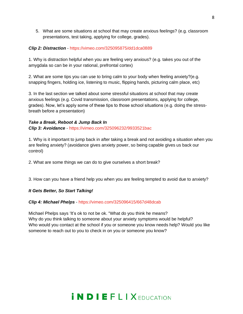5. What are some situations at school that may create anxious feelings? (e.g. classroom presentations, test taking, applying for college, grades).

#### *Clip 2: Distraction* - https://vimeo.com/325095875/dd1dca0889

1. Why is distraction helpful when you are feeling very anxious? (e.g. takes you out of the amygdala so can be in your rational, prefrontal cortex)

2. What are some tips you can use to bring calm to your body when feeling anxiety?(e.g. snapping fingers, holding ice, listening to music, flipping hands, picturing calm place, etc)

3. In the last section we talked about some stressful situations at school that may create anxious feelings (e.g. Covid transmission, classroom presentations, applying for college, grades). Now, let's apply some of these tips to those school situations (e.g. doing the stressbreath before a presentation)

#### *Take a Break, Reboot & Jump Back In Clip 3: Avoidance* - https://vimeo.com/325096232/9933521bac

1. Why is it important to jump back in after taking a break and not avoiding a situation when you are feeling anxiety? (avoidance gives anxiety power, so being capable gives us back our control)

2. What are some things we can do to give ourselves a short break?

3. How can you have a friend help you when you are feeling tempted to avoid due to anxiety?

#### *It Gets Better, So Start Talking!*

#### *Clip 4: Michael Phelps* - https://vimeo.com/325096415/667d48dcab

Michael Phelps says 'It's ok to not be ok. "What do you think he means? Why do you think talking to someone about your anxiety symptoms would be helpful? Who would you contact at the school if you or someone you know needs help? Would you like someone to reach out to you to check in on you or someone you know?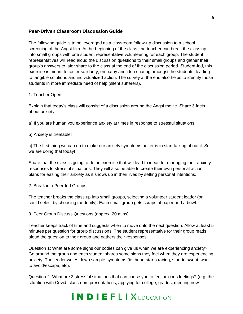#### **Peer-Driven Classroom Discussion Guide**

The following guide is to be leveraged as a classroom follow-up discussion to a school screening of the Angst film. At the beginning of the class, the teacher can break the class up into small groups with one student representative volunteering for each group. The student representatives will read aloud the discussion questions to their small groups and gather their group's answers to later share to the class at the end of the discussion period. Student-led, this exercise is meant to foster solidarity, empathy and idea sharing amongst the students, leading to tangible solutions and individualized action. The survey at the end also helps to identify those students in more immediate need of help (silent sufferers).

#### 1. Teacher Open

Explain that today's class will consist of a discussion around the Angst movie. Share 3 facts about anxiety.

- a) If you are human you experience anxiety at times in response to stressful situations.
- b) Anxiety is treatable!

c) The first thing we can do to make our anxiety symptoms better is to start talking about it. So we are doing that today!

Share that the class is going to do an exercise that will lead to ideas for managing their anxiety responses to stressful situations. They will also be able to create their own personal action plans for easing their anxiety as it shows up in their lives by setting personal intentions.

2. Break into Peer-led Groups

The teacher breaks the class up into small groups, selecting a volunteer student leader (or could select by choosing randomly). Each small group gets scraps of paper and a bowl.

3. Peer Group Discuss Questions (approx. 20 mins)

Teacher keeps track of time and suggests when to move onto the next question. Allow at least 5 minutes per question for group discussions. The student representative for their group reads aloud the question to their group and gathers their responses.

Question 1: What are some signs our bodies can give us when we are experiencing anxiety? Go around the group and each student shares some signs they feel when they are experiencing anxiety. The leader writes down sample symptoms (ie: heart starts racing, start to sweat, want to avoid/escape, etc).

Question 2: What are 3 stressful situations that can cause you to feel anxious feelings? (e.g. the situation with Covid, classroom presentations, applying for college, grades, meeting new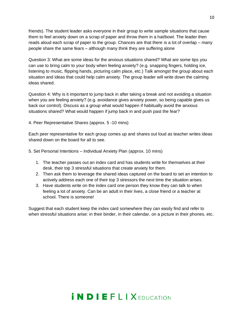friends). The student leader asks everyone in their group to write sample situations that cause them to feel anxiety down on a scrap of paper and throw them in a hat/bowl. The leader then reads aloud each scrap of paper to the group. Chances are that there is a lot of overlap – many people share the same fears – although many think they are suffering alone

Question 3: What are some ideas for the anxious situations shared? What are some tips you can use to bring calm to your body when feeling anxiety? (e.g. snapping fingers, holding ice, listening to music, flipping hands, picturing calm place, etc.) Talk amongst the group about each situation and ideas that could help calm anxiety. The group leader will write down the calming ideas shared.

Question 4: Why is it important to jump back in after taking a break and not avoiding a situation when you are feeling anxiety? (e.g. avoidance gives anxiety power, so being capable gives us back our control). Discuss as a group what would happen if habitually avoid the anxious situations shared? What would happen if jump back in and push past the fear?

4. Peer Representative Shares (approx. 5 -10 mins)

Each peer representative for each group comes up and shares out loud as teacher writes ideas shared down on the board for all to see.

- 5. Set Personal Intentions Individual Anxiety Plan (approx. 10 mins)
	- 1. The teacher passes out an index card and has students write for themselves at their desk, their top 3 stressful situations that create anxiety for them.
	- 2. Then ask them to leverage the shared ideas captured on the board to set an intention to actively address each one of their top 3 stressors the next time the situation arises.
	- 3. Have students write on the index card one person they know they can talk to when feeling a lot of anxiety. Can be an adult in their lives, a close friend or a teacher at school. There is someone!

Suggest that each student keep the index card somewhere they can easily find and refer to when stressful situations arise: in their binder, in their calendar, on a picture in their phones, etc.

### 10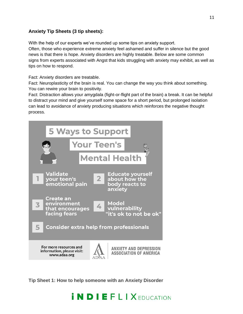#### **Anxiety Tip Sheets (3 tip sheets):**

With the help of our experts we've rounded up some tips on anxiety support.

Often, those who experience extreme anxiety feel ashamed and suffer in silence but the good news is that there is hope. Anxiety disorders are highly treatable. Below are some common signs from experts associated with Angst that kids struggling with anxiety may exhibit, as well as tips on how to respond.

Fact: Anxiety disorders are treatable.

Fact: Neuroplasticity of the brain is real. You can change the way you think about something. You can rewire your brain to positivity.

Fact: Distraction allows your amygdala (fight-or-flight part of the brain) a break. It can be helpful to distract your mind and give yourself some space for a short period, but prolonged isolation can lead to avoidance of anxiety producing situations which reinforces the negative thought process.



**Tip Sheet 1: How to help someone with an Anxiety Disorder**

#### 11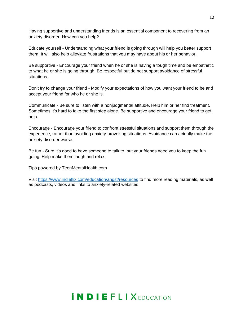Having supportive and understanding friends is an essential component to recovering from an anxiety disorder. How can you help?

Educate yourself - Understanding what your friend is going through will help you better support them. It will also help alleviate frustrations that you may have about his or her behavior.

Be supportive - Encourage your friend when he or she is having a tough time and be empathetic to what he or she is going through. Be respectful but do not support avoidance of stressful situations.

Don't try to change your friend - Modify your expectations of how you want your friend to be and accept your friend for who he or she is.

Communicate - Be sure to listen with a nonjudgmental attitude. Help him or her find treatment. Sometimes it's hard to take the first step alone. Be supportive and encourage your friend to get help.

Encourage - Encourage your friend to confront stressful situations and support them through the experience, rather than avoiding anxiety-provoking situations. Avoidance can actually make the anxiety disorder worse.

Be fun - Sure it's good to have someone to talk to, but your friends need you to keep the fun going. Help make them laugh and relax.

Tips powered by TeenMentalHealth.com

Visit<https://www.indieflix.com/education/angst/resources> to find more reading materials, as well as podcasts, videos and links to anxiety-related websites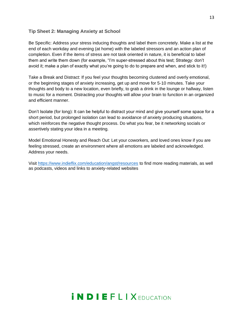#### **Tip Sheet 2: Managing Anxiety at School**

Be Specific: Address your stress inducing thoughts and label them concretely. Make a list at the end of each workday and evening (at home) with the labeled stressors and an action plan of completion. Even if the items of stress are not task oriented in nature, it is beneficial to label them and write them down (for example, "I'm super-stressed about this test; Strategy: don't avoid it; make a plan of exactly what you're going to do to prepare and when, and stick to it!)

Take a Break and Distract: If you feel your thoughts becoming clustered and overly emotional, or the beginning stages of anxiety increasing, get up and move for 5-10 minutes. Take your thoughts and body to a new location, even briefly, to grab a drink in the lounge or hallway, listen to music for a moment. Distracting your thoughts will allow your brain to function in an organized and efficient manner.

Don't Isolate (for long): It can be helpful to distract your mind and give yourself some space for a short period, but prolonged isolation can lead to avoidance of anxiety producing situations, which reinforces the negative thought process. Do what you fear, be it networking socials or assertively stating your idea in a meeting.

Model Emotional Honesty and Reach Out: Let your coworkers, and loved ones know if you are feeling stressed, create an environment where all emotions are labeled and acknowledged. Address your needs.

Visit<https://www.indieflix.com/education/angst/resources> to find more reading materials, as well as podcasts, videos and links to anxiety-related websites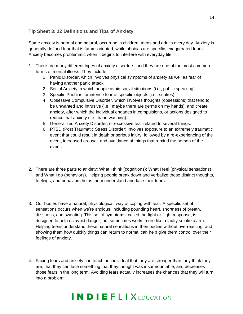#### **Tip Sheet 3: 12 Definitions and Tips of Anxiety**

Some anxiety is normal and natural, occurring in children, teens and adults every day. Anxiety is generally defined fear that is future-oriented, while phobias are specific, exaggerated fears. Anxiety becomes problematic when it begins to interfere with everyday life.

- 1. There are many different types of anxiety disorders, and they are one of the most common forms of mental illness. They include:
	- 1. Panic Disorder, which involves physical symptoms of anxiety as well as fear of having another panic attack.
	- 2. Social Anxiety in which people avoid social situations (i.e., public speaking).
	- 3. Specific Phobias, or intense fear of specific objects (i.e., snakes).
	- 4. Obsessive Compulsive Disorder, which involves thoughts (obsessions) that tend to be unwanted and intrusive (i.e., maybe there are germs on my hands), and create anxiety, after which the individual engages in compulsions, or actions designed to reduce that anxiety (i.e., hand washing).
	- 5. Generalized Anxiety Disorder, or excessive fear related to several things.
	- 6. PTSD (Post Traumatic Stress Disorder) involves exposure to an extremely traumatic event that could result in death or serious injury, followed by a re-experiencing of the event, increased arousal, and avoidance of things that remind the person of the event.
- 2. There are three parts to anxiety: What I think (cognitions); What I feel (physical sensations), and What I do (behaviors). Helping people break down and verbalize these distinct thoughts, feelings, and behaviors helps them understand and face their fears.
- 3. Our bodies have a natural, physiological, way of coping with fear. A specific set of sensations occurs when we're anxious, including pounding heart, shortness of breath, dizziness, and sweating. This set of symptoms, called the fight or flight response, is designed to help us avoid danger, but sometimes works more like a faulty smoke alarm. Helping teens understand these natural sensations in their bodies without overreacting, and showing them how quickly things can return to normal can help give them control over their feelings of anxiety.
- 4. Facing fears and anxiety can teach an individual that they are stronger than they think they are, that they can face something that they thought was insurmountable, and decreases those fears in the long term. Avoiding fears actually increases the chances that they will turn into a problem.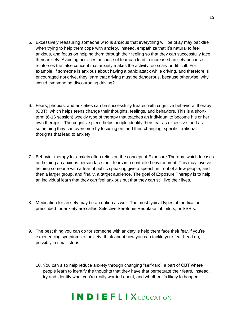- 5. Excessively reassuring someone who is anxious that everything will be okay may backfire when trying to help them cope with anxiety. Instead, empathize that it's natural to feel anxious, and focus on helping them through their feeling so that they can successfully face their anxiety. Avoiding activities because of fear can lead to increased anxiety because it reinforces the false concept that anxiety makes the activity too scary or difficult. For example, if someone is anxious about having a panic attack while driving, and therefore is encouraged not drive, they learn that driving must be dangerous, because otherwise, why would everyone be discouraging driving?
- 6. Fears, phobias, and anxieties can be successfully treated with cognitive behavioral therapy (CBT), which helps teens change their thoughts, feelings, and behaviors. This is a shortterm (6-16 session) weekly type of therapy that teaches an individual to become his or her own therapist. The cognitive piece helps people identify their fear as excessive, and as something they can overcome by focusing on, and then changing, specific irrational thoughts that lead to anxiety.
- 7. Behavior therapy for anxiety often relies on the concept of Exposure Therapy, which focuses on helping an anxious person face their fears in a controlled environment. This may involve helping someone with a fear of public speaking give a speech in front of a few people, and then a larger group, and finally, a target audience. The goal of Exposure Therapy is to help an individual learn that they can feel anxious but that they can still live their lives.
- 8. Medication for anxiety may be an option as well. The most typical types of medication prescribed for anxiety are called Selective Serotonin Reuptake Inhibitors, or SSRIs.
- 9. The best thing you can do for someone with anxiety is help them face their fear.If you're experiencing symptoms of anxiety, think about how you can tackle your fear head on, possibly in small steps.
	- 10. You can also help reduce anxiety through changing "self-talk", a part of CBT where people learn to identify the thoughts that they have that perpetuate their fears. Instead, try and identify what you're really worried about, and whether it's likely to happen.